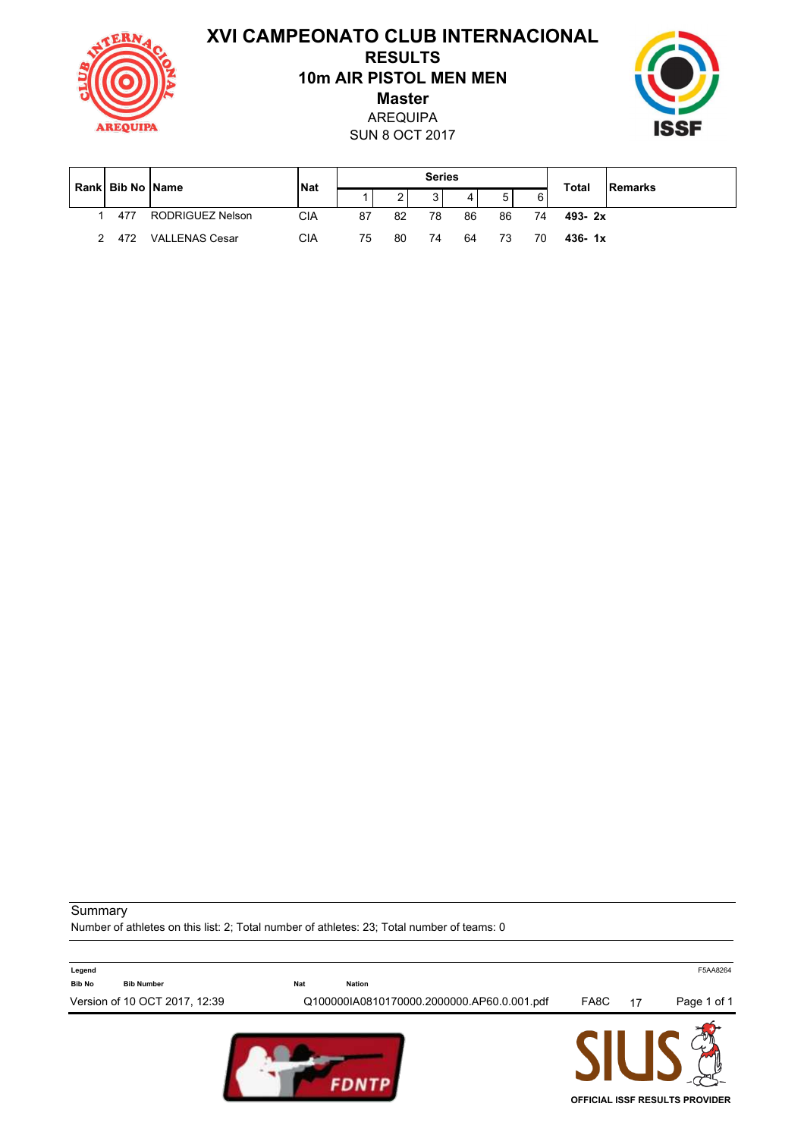**XVI CAMPEONATO CLUB INTERNACIONAL RESULTS 10m AIR PISTOL MEN MEN Master** AREQUIPA UIP ISSF SUN 8 OCT 2017  $\mathsf{r}$  $\mathsf{T}$  $\mathbf{T}$ ٦ **Series**

|  | <b>Rankl Bib No IName</b> |                       | <b>INat</b> | peries |    |    |    |    |    | <b>Total</b> | <b>Remarks</b> |
|--|---------------------------|-----------------------|-------------|--------|----|----|----|----|----|--------------|----------------|
|  |                           |                       |             |        |    |    |    | г  | 6  |              |                |
|  | 477                       | RODRIGUEZ Nelson      | CIA         | 87     | 82 | 78 | 86 | 86 | 74 | $493 - 2x$   |                |
|  | 472                       | <b>VALLENAS Cesar</b> | СIА         | 75     | 80 | 74 | 64 |    | 70 | $436 - 1x$   |                |

٦

**Summary** 

Number of athletes on this list: 2; Total number of athletes: 23; Total number of teams: 0

| Legend        |                               |            |                                            |      |    | F5AA8264                              |
|---------------|-------------------------------|------------|--------------------------------------------|------|----|---------------------------------------|
| <b>Bib No</b> | <b>Bib Number</b>             | <b>Nat</b> | Nation                                     |      |    |                                       |
|               | Version of 10 OCT 2017, 12:39 |            | Q100000IA0810170000.2000000.AP60.0.001.pdf | FA8C | 17 | Page 1 of 1                           |
|               |                               |            |                                            |      |    | <b>OFFICIAL ISSF RESULTS PROVIDER</b> |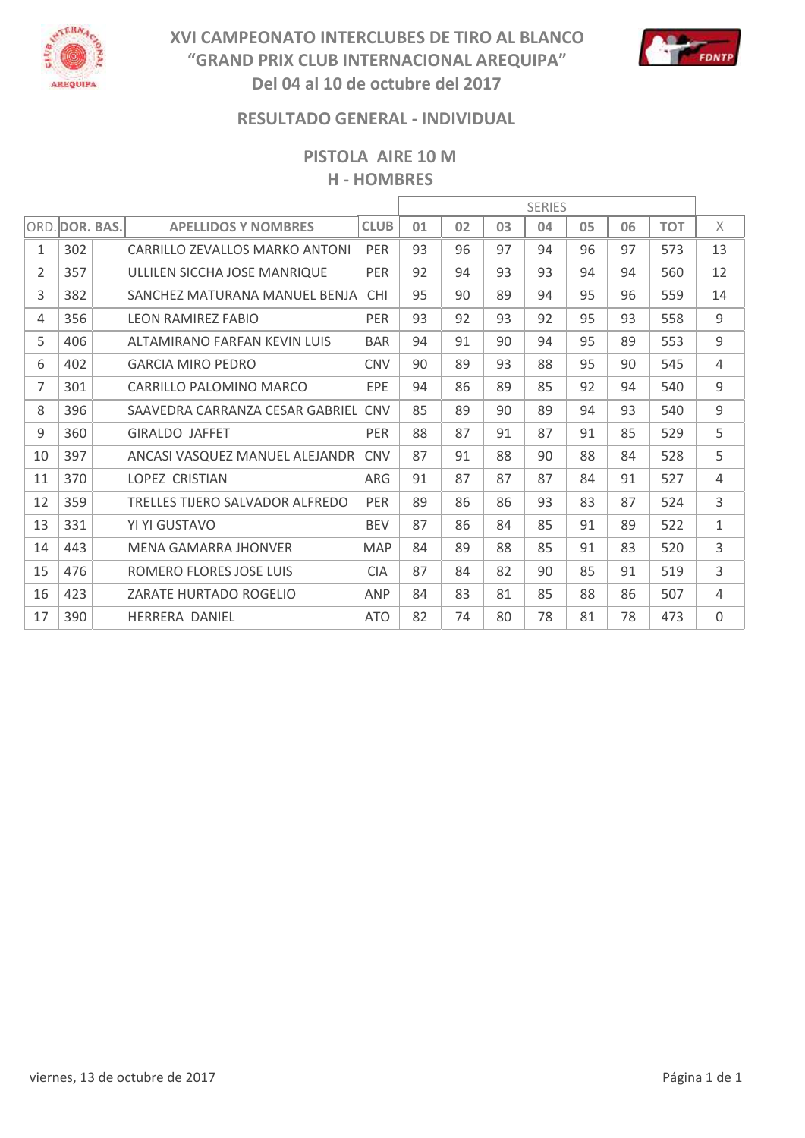

# **XVI CAMPEONATO INTERCLUBES DE TIRO AL BLANCO "GRAND PRIX CLUB INTERNACIONAL AREQUIPA" Del 04 al 10 de octubre del 2017**



## **RESULTADO GENERAL - INDIVIDUAL**

**PISTOLA AIRE 10 M H - HOMBRES**

|                |                |                                 | <b>SERIES</b> |    |    |    |    |    |    |            |    |
|----------------|----------------|---------------------------------|---------------|----|----|----|----|----|----|------------|----|
|                | ORD. DOR. BAS. | <b>APELLIDOS Y NOMBRES</b>      | <b>CLUB</b>   | 01 | 02 | 03 | 04 | 05 | 06 | <b>TOT</b> | X  |
| $\mathbf{1}$   | 302            | CARRILLO ZFVALLOS MARKO ANTONI  | <b>PER</b>    | 93 | 96 | 97 | 94 | 96 | 97 | 573        | 13 |
| $\overline{2}$ | 357            | ULLILEN SICCHA JOSE MANRIQUE    | <b>PER</b>    | 92 | 94 | 93 | 93 | 94 | 94 | 560        | 12 |
| 3              | 382            | SANCHEZ MATURANA MANUFL BENJA   | <b>CHI</b>    | 95 | 90 | 89 | 94 | 95 | 96 | 559        | 14 |
| 4              | 356            | LFON RAMIRFZ FABIO              | <b>PER</b>    | 93 | 92 | 93 | 92 | 95 | 93 | 558        | 9  |
| 5              | 406            | ALTAMIRANO FARFAN KFVIN LUIS    | <b>BAR</b>    | 94 | 91 | 90 | 94 | 95 | 89 | 553        | 9  |
| 6              | 402            | <b>GARCIA MIRO PEDRO</b>        | <b>CNV</b>    | 90 | 89 | 93 | 88 | 95 | 90 | 545        | 4  |
| $\overline{7}$ | 301            | CARRILLO PALOMINO MARCO         | EPE           | 94 | 86 | 89 | 85 | 92 | 94 | 540        | 9  |
| 8              | 396            | SAAVEDRA CARRANZA CESAR GABRIEL | <b>CNV</b>    | 85 | 89 | 90 | 89 | 94 | 93 | 540        | 9  |
| 9              | 360            | <b>GIRALDO JAFFET</b>           | <b>PER</b>    | 88 | 87 | 91 | 87 | 91 | 85 | 529        | 5  |
| 10             | 397            | ANCASI VASQUEZ MANUEL ALEJANDR  | <b>CNV</b>    | 87 | 91 | 88 | 90 | 88 | 84 | 528        | 5  |
| 11             | 370            | <b>LOPEZ CRISTIAN</b>           | ARG           | 91 | 87 | 87 | 87 | 84 | 91 | 527        | 4  |
| 12             | 359            | TRELLES TIJERO SALVADOR ALFREDO | <b>PER</b>    | 89 | 86 | 86 | 93 | 83 | 87 | 524        | 3  |
| 13             | 331            | YI YI GUSTAVO                   | <b>BEV</b>    | 87 | 86 | 84 | 85 | 91 | 89 | 522        | 1  |
| 14             | 443            | MENA GAMARRA JHONVER            | <b>MAP</b>    | 84 | 89 | 88 | 85 | 91 | 83 | 520        | 3  |
| 15             | 476            | ROMERO FLORES JOSE LUIS         | <b>CIA</b>    | 87 | 84 | 82 | 90 | 85 | 91 | 519        | 3  |
| 16             | 423            | ZARATE HURTADO ROGELIO          | ANP           | 84 | 83 | 81 | 85 | 88 | 86 | 507        | 4  |
| 17             | 390            | <b>HFRRFRA DANIFL</b>           | <b>ATO</b>    | 82 | 74 | 80 | 78 | 81 | 78 | 473        | 0  |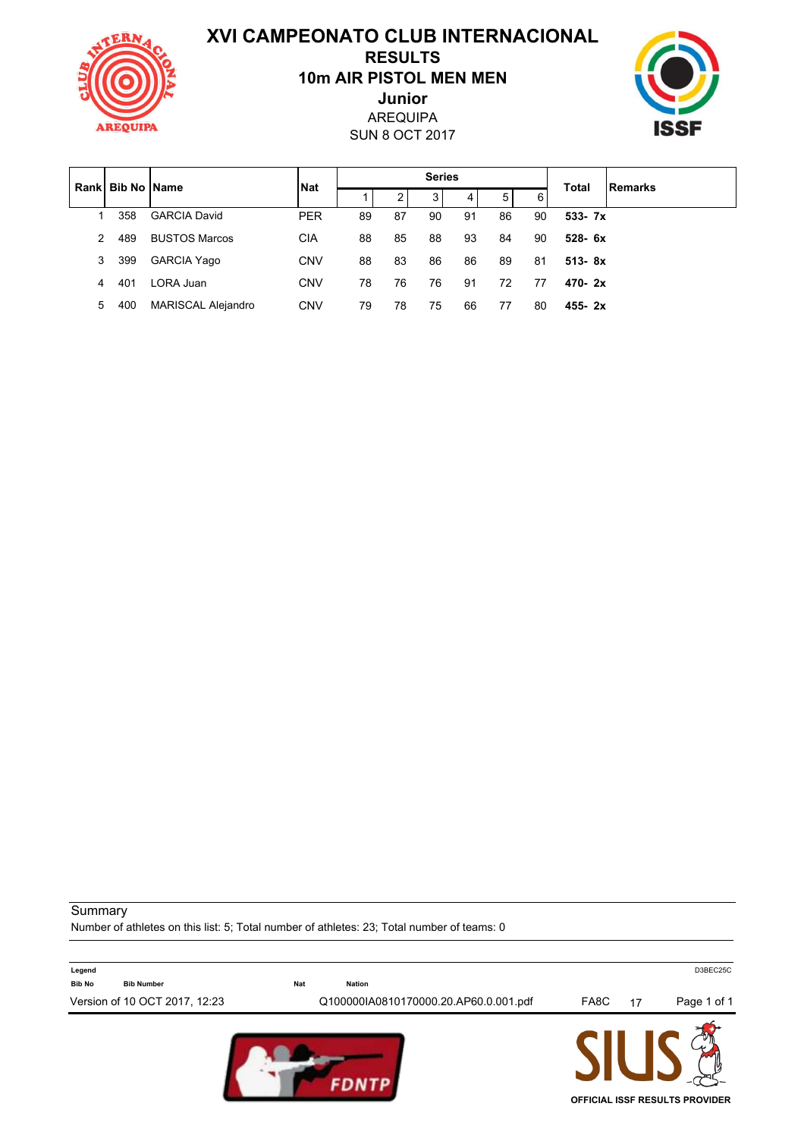**XVI CAMPEONATO CLUB INTERNACIONAL**



# **10m AIR PISTOL MEN MEN RESULTS**

AREQUIPA **Junior**

SUN 8 OCT 2017



| Rankl         | <b>Bib No IName</b> |                           | <b>Nat</b> | <b>Series</b> |    |    |    |    |    | <b>Total</b> | Remarks |
|---------------|---------------------|---------------------------|------------|---------------|----|----|----|----|----|--------------|---------|
|               |                     |                           |            |               | 2  | 3  | 4  | 5  | 6  |              |         |
|               | 358                 | <b>GARCIA David</b>       | <b>PER</b> | 89            | 87 | 90 | 91 | 86 | 90 | $533 - 7x$   |         |
| $\mathcal{P}$ | 489                 | <b>BUSTOS Marcos</b>      | <b>CIA</b> | 88            | 85 | 88 | 93 | 84 | 90 | $528 - 6x$   |         |
| 3             | 399                 | <b>GARCIA Yago</b>        | <b>CNV</b> | 88            | 83 | 86 | 86 | 89 | 81 | $513 - 8x$   |         |
| 4             | 401                 | LORA Juan                 | <b>CNV</b> | 78            | 76 | 76 | 91 | 72 | 77 | $470 - 2x$   |         |
| 5             | 400                 | <b>MARISCAL Alejandro</b> | <b>CNV</b> | 79            | 78 | 75 | 66 | 77 | 80 | $455 - 2x$   |         |

#### **Summary**

Number of athletes on this list: 5; Total number of athletes: 23; Total number of teams: 0